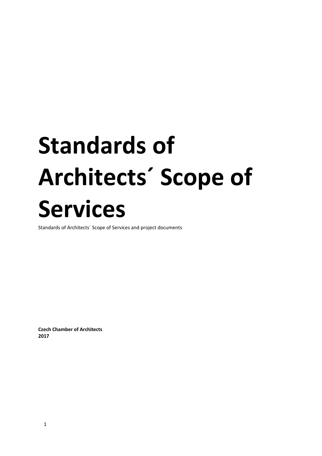# **Standards of Architects´ Scope of Services**

Standards of Architects´ Scope of Services and project documents

**Czech Chamber of Architects 2017**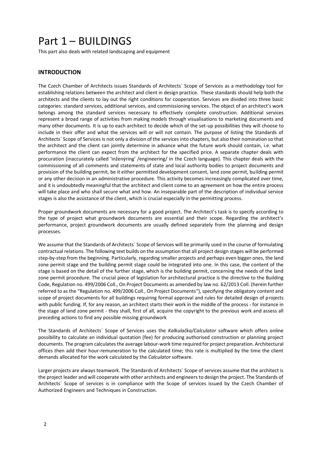# Part 1 – BUILDINGS

This part also deals with related landscaping and equipment

# **INTRODUCTION**

The Czech Chamber of Architects issues Standards of Architects´ Scope of Services as a methodology tool for establishing relations between the architect and client in design practice. These standards should help both the architects and the clients to lay out the right conditions for cooperation. Services are divided into three basic categories: standard services, additional services, and commissioning services. The object of an architect's work belongs among the standard services necessary to effectively complete construction. Additional services represent a broad range of activities from making models through visualisations to marketing documents and many other documents. It is up to each architect to decide which of the set-up possibilities they will choose to include in their offer and what the services will or will not contain. The purpose of listing the Standards of Architects´ Scope of Services is not only a division of the services into chapters, but also their nomination so that the architect and the client can jointly determine in advance what the future work should contain, i.e. what performance the client can expect from the architect for the specified price. A separate chapter deals with procuration (inaccurately called 'inženýring' /engineering/ in the Czech language). This chapter deals with the commissioning of all comments and statements of state and local authority bodies to project documents and provision of the building permit, be it either permitted development consent, land zone permit, building permit or any other decision in an administrative procedure. This activity becomes increasingly complicated over time, and it is undoubtedly meaningful that the architect and client come to an agreement on how the entire process will take place and who shall secure what and how. An inseparable part of the description of individual service stages is also the assistance of the client, which is crucial especially in the permitting process.

Proper groundwork documents are necessary for a good project. The Architect's task is to specify according to the type of project what groundwork documents are essential and their scope. Regarding the architect's performance, project groundwork documents are usually defined separately from the planning and design processes.

We assume that the Standards of Architects´ Scope of Services will be primarily used in the course of formulating contractual relations. The following text builds on the assumption that all project design stages will be performed step-by-step from the beginning. Particularly, regarding smaller projects and perhaps even bigger ones, the land zone permit stage and the building permit stage could be integrated into one. In this case, the content of the stage is based on the detail of the further stage, which is the building permit, concerning the needs of the land zone permit procedure. The crucial piece of legislation for architectural practice is the directive to the Building Code, Regulation no. 499/2006 Coll., On Project Documents as amended by law no. 62/2013 Coll. (herein further referred to as the "Regulation no. 499/2006 Coll., On Project Documents"), specifying the obligatory content and scope of project documents for all buildings requiring formal approval and rules for detailed design of projects with public funding. If, for any reason, an architect starts their work in the middle of the process - for instance in the stage of land zone permit - they shall, first of all, acquire the copyright to the previous work and assess all preceding actions to find any possible missing groundwork

The Standards of Architects´ Scope of Services uses the *Kalkulačka/Calculator* software which offers online possibility to calculate an individual quotation (fee) for producing authorised construction or planning project documents. The program calculates the average labour-work time required for project preparation. Architectural offices then add their hour-remuneration to the calculated time; this rate is multiplied by the time the client demands allocated for the work calculated by the *Calculator* software.

Larger projects are always teamwork. The Standards of Architects´ Scope of services assume that the architect is the project leader and will cooperate with other architects and engineers to design the project. The Standards of Architects´ Scope of services is in compliance with the Scope of services issued by the Czech Chamber of Authorized Engineers and Techniques in Construction.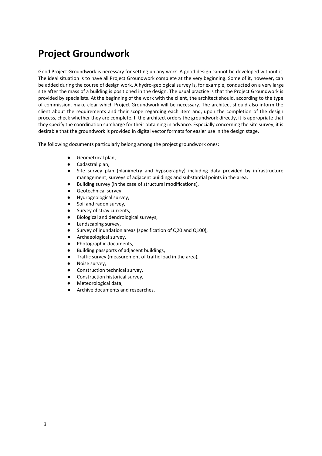# **Project Groundwork**

Good Project Groundwork is necessary for setting up any work. A good design cannot be developed without it. The ideal situation is to have all Project Groundwork complete at the very beginning. Some of it, however, can be added during the course of design work. A hydro-geological survey is, for example, conducted on a very large site after the mass of a building is positioned in the design. The usual practice is that the Project Groundwork is provided by specialists. At the beginning of the work with the client, the architect should, according to the type of commission, make clear which Project Groundwork will be necessary. The architect should also inform the client about the requirements and their scope regarding each item and, upon the completion of the design process, check whether they are complete. If the architect orders the groundwork directly, it is appropriate that they specify the coordination surcharge for their obtaining in advance. Especially concerning the site survey, it is desirable that the groundwork is provided in digital vector formats for easier use in the design stage.

The following documents particularly belong among the project groundwork ones:

- Geometrical plan,
- Cadastral plan,
- Site survey plan (planimetry and hypsography) including data provided by infrastructure management; surveys of adjacent buildings and substantial points in the area,
- Building survey (in the case of structural modifications),
- Geotechnical survey,
- Hydrogeological survey,
- Soil and radon survey,
- Survey of stray currents,
- Biological and dendrological surveys,
- Landscaping survey,
- Survey of inundation areas (specification of Q20 and Q100),
- Archaeological survey,
- Photographic documents,
- Building passports of adjacent buildings,
- Traffic survey (measurement of traffic load in the area),
- Noise survey,
- Construction technical survey,
- Construction historical survey,
- Meteorological data,
- Archive documents and researches.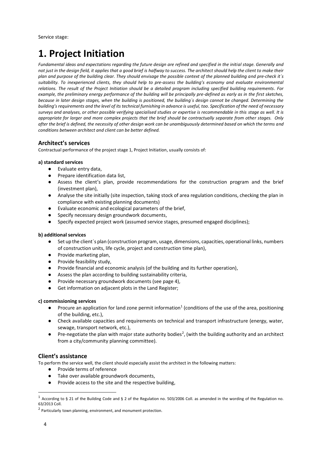# **1. Project Initiation**

*Fundamental ideas and expectations regarding the future design are refined and specified in the initial stage. Generally and not just in the design field, it applies that a good brief is halfway to success. The architect should help the client to make their plan and purpose of the building clear. They should envisage the possible context of the planned building and pre-check it´s suitability. To inexperienced clients, they should help to pre-assess the building's economy and evaluate environmental relations. The result of the Project Initiation should be a detailed program including specified building requirements. For example, the preliminary energy performance of the building will be principally pre-defined as early as in the first sketches, because in later design stages, when the building is positioned, the building´s design cannot be changed. Determining the building's requirements and the level of its technical furnishing in advance is useful, too. Specification of the need of necessary surveys and analyses, or other possible verifying specialised studies or expertise is recommendable in this stage as well. It is appropriate for larger and more complex projects that the brief should be contractually separate from other stages. Only after the brief is defined, the necessity of other design work can be unambiguously determined based on which the terms and conditions between architect and client can be better defined.*

# **Architect's services**

Contractual performance of the project stage 1, Project Initiation, usually consists of:

#### **a) standard services**

- Evaluate entry data,
- Prepare identification data list,
- Assess the client's plan, provide recommendations for the construction program and the brief (investment plan),
- Analyse the site initially (site inspection, taking stock of area regulation conditions, checking the plan in compliance with existing planning documents)
- Evaluate economic and ecological parameters of the brief,
- Specify necessary design groundwork documents,
- Specify expected project work (assumed service stages, presumed engaged disciplines);

## **b) additional services**

- Set up the client's plan (construction program, usage, dimensions, capacities, operational links, numbers of construction units, life cycle, project and construction time plan),
- Provide marketing plan,
- Provide feasibility study,
- Provide financial and economic analysis (of the building and its further operation),
- Assess the plan according to building sustainability criteria,
- Provide necessary groundwork documents (see page 4),
- Get information on adjacent plots in the Land Register;

#### **c) commissioning services**

- Procure an application for land zone permit information<sup>1</sup> (conditions of the use of the area, positioning of the building, etc.),
- Check available capacities and requirements on technical and transport infrastructure (energy, water, sewage, transport network, etc.),
- Pre-negotiate the plan with major state authority bodies<sup>2</sup>, (with the building authority and an architect from a city/community planning committee).

## **Client's assistance**

To perform the service well, the client should especially assist the architect in the following matters:

- Provide terms of reference
- Take over available groundwork documents,
- Provide access to the site and the respective building,

<sup>&</sup>lt;sup>1</sup> According to § 21 of the Building Code and § 2 of the Regulation no. 503/2006 Coll. as amended in the wording of the Regulation no. 63/2013 Coll.

<sup>&</sup>lt;sup>2</sup> Particularly town planning, environment, and monument protection.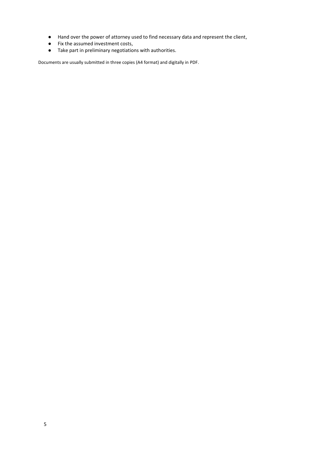- Hand over the power of attorney used to find necessary data and represent the client,
- Fix the assumed investment costs,
- Take part in preliminary negotiations with authorities.

Documents are usually submitted in three copies (A4 format) and digitally in PDF.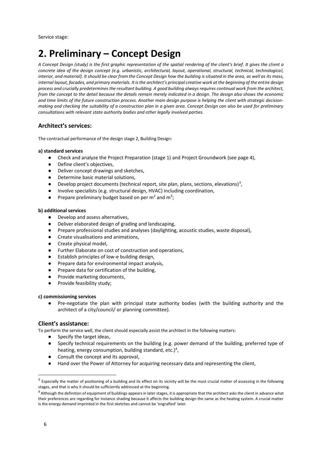# **2. Preliminary – Concept Design**

*A Concept Design (study) is the first graphic representation of the spatial rendering of the client's brief. It gives the client a concrete idea of the design concept (e.g. urbanistic, architectural, layout, operational, structural, technical, technological,*  interior, and material). It should be clear from the Concept Design how the building is situated in the area, as well as its mass, *internal layout, facades, and primary materials. It is the architect's principal creative work at the beginning of the entire design process and crucially predetermines the resultant building. A good building always requires continual work from the architect, from the concept to the detail because the details remain merely indicated in a design. The design also shows the economic and time limits of the future construction process. Another main design purpose is helping the client with strategic decisionmaking and checking the suitability of a construction plan in a given area. Concept Design can also be used for preliminary consultations with relevant state authority bodies and other legally involved parties.* 

# **Architect's services:**

The contractual performance of the design stage 2, Building Design:

#### **a) standard services**

- Check and analyze the Project Preparation (stage 1) and Project Groundwork (see page 4),
- Define client's objectives.
- Deliver concept drawings and sketches,
- Determine basic material solutions,
- $\bullet$  Develop project documents (technical report, site plan, plans, sections, elevations)<sup>3</sup>,
- Involve specialists (e.g. structural design, HVAC) including coordination,
- Prepare preliminary budget based on per  $m^2$  and  $m^3$ ;

#### **b) additional services**

- Develop and assess alternatives,
- Deliver elaborated design of grading and landscaping,
- Prepare professional studies and analyses (daylighting, acoustic studies, waste disposal),
- Create visualisations and animations,
- Create physical model,
- Further Elaborate on cost of construction and operations,
- Establish principles of low-e building design,
- Prepare data for environmental impact analysis,
- Prepare data for certification of the building,
- Provide marketing documents.
- Provide feasibility study;

#### **c) commissioning services**

Pre-negotiate the plan with principal state authority bodies (with the building authority and the architect of a city/council/ or planning committee).

#### **Client's assistance:**

To perform the service well, the client should especially assist the architect in the following matters:

- Specify the target ideas,
- Specify technical requirements on the building (e.g. power demand of the building, preferred type of heating, energy consumption, building standard, etc.)<sup>4</sup>,
- Consult the concept and its approval,
- Hand over the Power of Attorney for acquiring necessary data and representing the client,

 $^3$  Especially the matter of positioning of a building and its effect on its vicinity will be the most crucial matter of assessing in the following stages, and that is why it should be sufficiently addressed at the beginning.

 $^4$  Although the definition of equipment of buildings appears in later stages, it is appropriate that the architect asks the client in advance what their preferences are regarding for instance shading because it affects the building design the same as the heating system. A crucial matter is the energy demand imprinted in the first sketches and cannot be 'engrafted' later.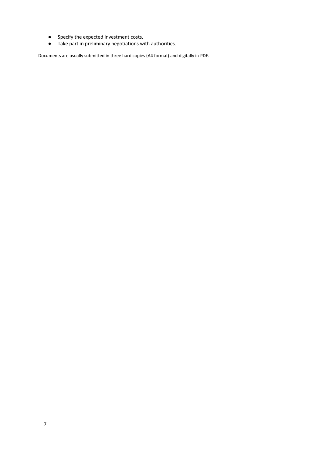- Specify the expected investment costs,
- Take part in preliminary negotiations with authorities.

Documents are usually submitted in three hard copies (A4 format) and digitally in PDF.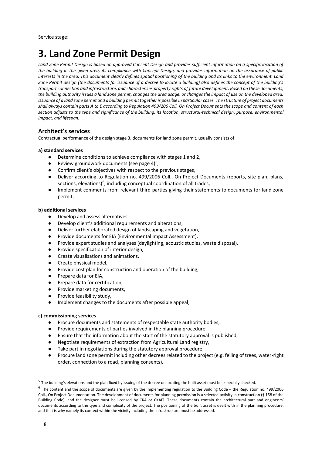# **3. Land Zone Permit Design**

*Land Zone Permit Design is based on approved Concept Design and provides sufficient information on a specific location of the building in the given area, its compliance with Concept Design, and provides information on the assurance of public interests in the area. This document clearly defines spatial positioning of the building and its links to the environment. Land Zone Permit design (the documents for issuance of a decree to locate a building) also defines the concept of the building's transport connection and infrastructure, and characterises property rights of future development. Based on these documents, the building authority issues a land zone permit, changes the area usage, or changes the impact of use on the developed area. Issuance of a land zone permit and a building permit together is possible in particular cases. The structure of project documents shall always contain parts A to E according to Regulation 499/206 Coll. On Project Documents the scope and content of each section adjusts to the type and significance of the building, its location, structural-technical design, purpose, environmental impact, and lifespan.*

# **Architect's services**

Contractual performance of the design stage 3, documents for land zone permit, usually consists of:

#### **a) standard services**

- Determine conditions to achieve compliance with stages 1 and 2,
- $\bullet$  Review groundwork documents (see page 4)<sup>5</sup>,
- Confirm client's objectives with respect to the previous stages,
- Deliver according to Regulation no. 499/2006 Coll., On Project Documents (reports, site plan, plans, sections, elevations)<sup>6</sup>, including conceptual coordination of all trades,
- Implement comments from relevant third parties giving their statements to documents for land zone permit;

#### **b) additional services**

- Develop and assess alternatives
- Develop client's additional requirements and alterations,
- Deliver further elaborated design of landscaping and vegetation,
- Provide documents for EIA (Environmental Impact Assessment),
- Provide expert studies and analyses (daylighting, acoustic studies, waste disposal),
- Provide specification of interior design,
- Create visualisations and animations,
- Create physical model,
- Provide cost plan for construction and operation of the building,
- Prepare data for EIA,
- Prepare data for certification,
- Provide marketing documents,
- Provide feasibility study,
- Implement changes to the documents after possible appeal;

#### **c) commissioning services**

- Procure documents and statements of respectable state authority bodies,
- Provide requirements of parties involved in the planning procedure,
- Ensure that the information about the start of the statutory approval is published,
- Negotiate requirements of extraction from Agricultural Land registry,
- Take part in negotiations during the statutory approval procedure,
- Procure land zone permit including other decrees related to the project (e.g. felling of trees, water-right order, connection to a road, planning consents),

<sup>&</sup>lt;sup>5</sup> The building's elevations and the plan fixed by issuing of the decree on locating the built asset must be especially checked.

 $^6$  The content and the scope of documents are given by the implementing regulation to the Building Code – the Regulation no. 499/2006 Coll., On Project Documentation. The development of documents for planning permission is a selected activity in construction (§ 158 of the Building Code), and the designer must be licensed by ČKA or ČKAIT. These documents contain the architectural part and engineers' documents according to the type and complexity of the project. The positioning of the built asset is dealt with in the planning procedure, and that is why namely its context within the vicinity including the infrastructure must be addressed.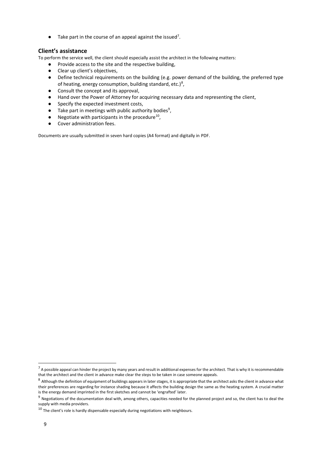$\bullet$  Take part in the course of an appeal against the issued<sup>7</sup>.

# **Client's assistance**

To perform the service well, the client should especially assist the architect in the following matters:

- Provide access to the site and the respective building,
- Clear up client's objectives,
- Define technical requirements on the building (e.g. power demand of the building, the preferred type of heating, energy consumption, building standard, etc.)<sup>8</sup>,
- Consult the concept and its approval,
- Hand over the Power of Attorney for acquiring necessary data and representing the client,
- Specify the expected investment costs,
- $\bullet$  Take part in meetings with public authority bodies<sup>9</sup>,
- $\bullet$  Negotiate with participants in the procedure<sup>10</sup>,
- Cover administration fees.

Documents are usually submitted in seven hard copies (A4 format) and digitally in PDF.

 $^7$  A possible appeal can hinder the project by many years and result in additional expenses for the architect. That is why it is recommendable that the architect and the client in advance make clear the steps to be taken in case someone appeals.

 $^8$  Although the definition of equipment of buildings appears in later stages, it is appropriate that the architect asks the client in advance what their preferences are regarding for instance shading because it affects the building design the same as the heating system. A crucial matter is the energy demand imprinted in the first sketches and cannot be 'engrafted' later.

 $9$  Negotiations of the documentation deal with, among others, capacities needed for the planned project and so, the client has to deal the supply with media providers.

 $^{10}$  The client's role is hardly dispensable especially during negotiations with neighbours.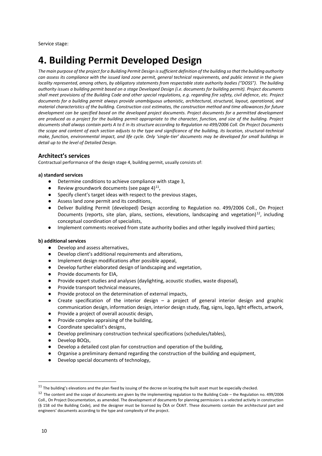# **4. Building Permit Developed Design**

*The main purpose of the project for a Building Permit Design is sufficient definition of the building so that the building authority can assess its compliance with the issued land zone permit, general technical requirements, and public interest in the given locality represented, among others, by obligatory statements from respectable state authority bodies ("DOSS"). The building authority issues a building permit based on a stage Developed Design (i.e. documents for building permit). Project documents shall meet provisions of the Building Code and other special regulations, e.g. regarding fire safety, civil defence, etc. Project documents for a building permit always provide unambiguous urbanistic, architectural, structural, layout, operational, and material characteristics of the building. Construction cost estimates, the construction method and time allowances for future development can be specified based on the developed project documents. Project documents for a permitted development are produced as a project for the building permit appropriate to the character, function, and size of the building. Project documents shall always contain parts A to E in its structure according to Regulation no 499/2006 Coll. On Project Documents the scope and content of each section adjusts to the type and significance of the building, its location, structural-technical make, function, environmental impact, and life cycle. Only 'single-tier' documents may be developed for small buildings in detail up to the level of Detailed Design.* 

## **Architect's services**

Contractual performance of the design stage 4, building permit, usually consists of:

#### **a) standard services**

- Determine conditions to achieve compliance with stage 3,
- Review groundwork documents (see page 4) $^{11}$ ,
- Specify client's target ideas with respect to the previous stages,
- Assess land zone permit and its conditions,
- Deliver Building Permit (developed) Design according to Regulation no. 499/2006 Coll., On Project Documents (reports, site plan, plans, sections, elevations, landscaping and vegetation)<sup>12</sup>, including conceptual coordination of specialists,
- Implement comments received from state authority bodies and other legally involved third parties;

#### **b) additional services**

- Develop and assess alternatives,
- Develop client's additional requirements and alterations,
- Implement design modifications after possible appeal,
- Develop further elaborated design of landscaping and vegetation,
- Provide documents for EIA,
- Provide expert studies and analyses (daylighting, acoustic studies, waste disposal),
- Provide transport technical measures,
- Provide protocol on the determination of external impacts,
- Create specification of the interior design a project of general interior design and graphic communication design, information design, interior design study, flag, signs, logo, light effects, artwork,
- Provide a project of overall acoustic design,
- Provide complex appraising of the building,
- Coordinate specialist's designs,
- Develop preliminary construction technical specifications (schedules/tables),
- Develop BOQs,
- Develop a detailed cost plan for construction and operation of the building,
- Organise a preliminary demand regarding the construction of the building and equipment,
- Develop special documents of technology,

 $11$  The building's elevations and the plan fixed by issuing of the decree on locating the built asset must be especially checked.

<sup>12</sup> The content and the scope of documents are given by the implementing regulation to the Building Code – the Regulation no. 499/2006 Coll., On Project Documentation, as amended. The development of documents for planning permission is a selected activity in construction (§ 158 od the Building Code), and the designer must be licensed by ČKA or ČKAIT. These documents contain the architectural part and engineers' documents according to the type and complexity of the project.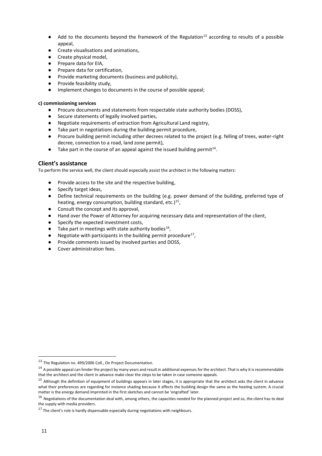- $\bullet$  Add to the documents beyond the framework of the Regulation<sup>13</sup> according to results of a possible appeal,
- Create visualisations and animations,
- Create physical model,
- Prepare data for EIA,
- Prepare data for certification.
- Provide marketing documents (business and publicity),
- Provide feasibility study,
- Implement changes to documents in the course of possible appeal;

#### **c) commissioning services**

- Procure documents and statements from respectable state authority bodies (DOSS),
- Secure statements of legally involved parties,
- Negotiate requirements of extraction from Agricultural Land registry,
- Take part in negotiations during the building permit procedure,
- Procure building permit including other decrees related to the project (e.g. felling of trees, water-right decree, connection to a road, land zone permit),
- $\bullet$  Take part in the course of an appeal against the issued building permit<sup>14</sup>.

#### **Client's assistance**

To perform the service well, the client should especially assist the architect in the following matters:

- Provide access to the site and the respective building,
- Specify target ideas.
- Define technical requirements on the building (e.g. power demand of the building, preferred type of heating, energy consumption, building standard, etc.)<sup>15</sup>,
- Consult the concept and its approval,
- Hand over the Power of Attorney for acquiring necessary data and representation of the client,
- Specify the expected investment costs,
- $\bullet$  Take part in meetings with state authority bodies<sup>16</sup>,
- $\bullet$  Negotiate with participants in the building permit procedure<sup>17</sup>,
- Provide comments issued by involved parties and DOSS,
- Cover administration fees.

<sup>13</sup> The Regulation no. 499/2006 Coll., On Project Documentation.

 $14$  A possible appeal can hinder the project by many years and result in additional expenses for the architect. That is why it is recommendable that the architect and the client in advance make clear the steps to be taken in case someone appeals.

<sup>&</sup>lt;sup>15</sup> Although the definition of equipment of buildings appears in later stages, it is appropriate that the architect asks the client in advance what their preferences are regarding for instance shading because it affects the building design the same as the heating system. A crucial matter is the energy demand imprinted in the first sketches and cannot be 'engrafted' later.

<sup>&</sup>lt;sup>16</sup> Negotiations of the documentation deal with, among others, the capacities needed for the planned project and so, the client has to deal the supply with media providers.

<sup>&</sup>lt;sup>17</sup> The client's role is hardly dispensable especially during negotiations with neighbours.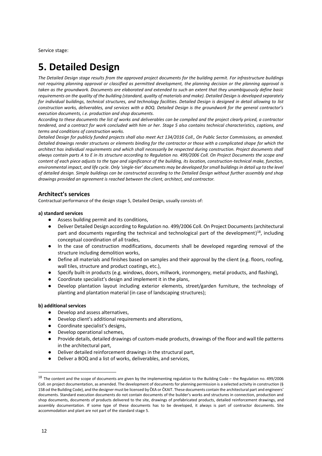# **5. Detailed Design**

*The Detailed Design stage results from the approved project documents for the building permit. For infrastructure buildings not requiring planning approval or classified as permitted development, the planning decision or the planning approval is taken as the groundwork. Documents are elaborated and extended to such an extent that they unambiguously define basic requirements on the quality of the building (standard, quality of materials and make). Detailed Design is developed separately for individual buildings, technical structures, and technology facilities. Detailed Design is designed in detail allowing to list construction works, deliverables, and services with a BOQ. Detailed Design is the groundwork for the general contractor's execution documents, i.e. production and shop documents.*

*According to these documents the list of works and deliverables can be compiled and the project clearly priced, a contractor tendered, and a contract for work concluded with him or her. Stage 5 also contains technical characteristics, captions, and terms and conditions of construction works.* 

*Detailed Design for publicly funded projects shall also meet Act 134/2016 Coll., On Public Sector Commissions, as amended. Detailed drawings render structures or elements binding for the contractor or those with a complicated shape for which the architect has individual requirements and which shall necessarily be respected during construction. Project documents shall always contain parts A to E in its structure according to Regulation no. 499/2006 Coll. On Project Documents the scope and content of each piece adjusts to the type and significance of the building, its location, construction-technical make, function, environmental impact, and life cycle. Only 'single-tier' documents may be developed for small buildings in detail up to the level of detailed design. Simple buildings can be constructed according to the Detailed Design without further assembly and shop drawings provided an agreement is reached between the client, architect, and contractor.*

# **Architect's services**

Contractual performance of the design stage 5, Detailed Design, usually consists of:

#### **a) standard services**

- Assess building permit and its conditions,
- Deliver Detailed Design according to Regulation no. 499/2006 Coll. On Project Documents (architectural part and documents regarding the technical and technological part of the development)<sup>18</sup>, including conceptual coordination of all trades,
- In the case of construction modifications, documents shall be developed regarding removal of the structure including demolition works,
- Define all materials and finishes based on samples and their approval by the client (e.g. floors, roofing, wall tiles, structure and product coatings, etc.),
- Specify built-in products (e.g. windows, doors, millwork, ironmongery, metal products, and flashing),
- Coordinate specialist's design and implement it in the plans,
- Develop plantation layout including exterior elements, street/garden furniture, the technology of planting and plantation material (in case of landscaping structures);

#### **b) additional services**

- Develop and assess alternatives,
- Develop client's additional requirements and alterations,
- Coordinate specialist's designs,
- Develop operational schemes,
- Provide details, detailed drawings of custom-made products, drawings of the floor and wall tile patterns in the architectural part,
- Deliver detailed reinforcement drawings in the structural part,
- Deliver a BOQ and a list of works, deliverables, and services,

 $18$  The content and the scope of documents are given by the implementing regulation to the Building Code – the Regulation no. 499/2006 Coll. on project documentation, as amended. The development of documents for planning permission is a selected activity in construction (§ 158 od the Building Code), and the designer must be licensed by ČKA or ČKAIT. These documents contain the architectural part and engineers' documents. Standard execution documents do not contain documents of the builder's works and structures in connection, production and shop documents, documents of products delivered to the site, drawings of prefabricated products, detailed reinforcement drawings, and assembly documentation. If some type of these documents has to be developed, it always is part of contractor documents. Site accommodation and plant are not part of the standard stage 5.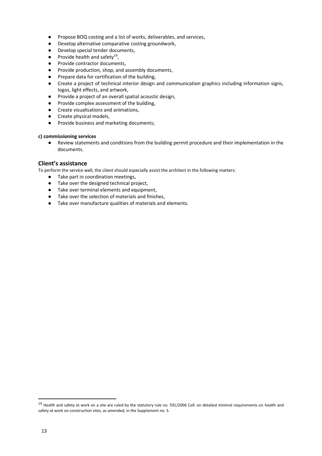- Propose BOQ costing and a list of works, deliverables, and services,
- Develop alternative comparative costing groundwork,
- Develop special tender documents,
- $\bullet$  Provide health and safety<sup>19</sup>,
- Provide contractor documents,
- Provide production, shop, and assembly documents,
- Prepare data for certification of the building,
- Create a project of technical interior design and communication graphics including information signs, logos, light effects, and artwork,
- Provide a project of an overall spatial acoustic design,
- Provide complex assessment of the building,
- Create visualisations and animations,
- Create physical models,
- Provide business and marketing documents;

#### **c) commissioning services**

● Review statements and conditions from the building permit procedure and their implementation in the documents.

## **Client's assistance**

To perform the service well, the client should especially assist the architect in the following matters:

- Take part in coordination meetings,
- Take over the designed technical project,
- Take over terminal elements and equipment,
- Take over the selection of materials and finishes,
- Take over manufacture qualities of materials and elements.

 $19$  Health and safety at work on a site are ruled by the statutory rule no. 591/2006 Coll. on detailed minimal requirements on health and safety at work on construction sites, as amended, in the Supplement no. 5.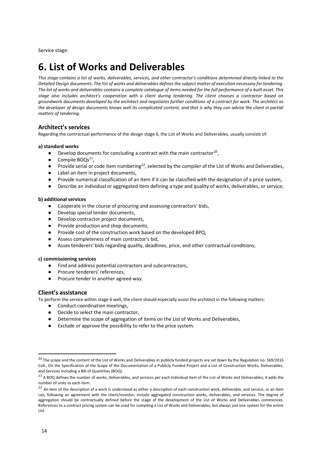# **6. List of Works and Deliverables**

This stage contains a list of works, deliverables, services, and other contractor's conditions determined directly linked to the *Detailed Design documents. The list of works and deliverables defines the subject matter of execution necessary for tendering. The list of works and deliverables contains a complete catalogue of items needed for the full performance of a built asset. This stage also includes architect's cooperation with a client during tendering. The client chooses a contractor based on groundwork documents developed by the architect and negotiates further conditions of a contract for work. The architect as the developer of design documents knows well its complicated content, and that is why they can advise the client in partial matters of tendering.*

## **Architect's services**

Regarding the contractual performance of the design stage 6, the List of Works and Deliverables, usually consists of:

#### **a) standard works**

- $\bullet$  Develop documents for concluding a contract with the main contractor<sup>20</sup>,
- $\bullet$  Compile BOQs<sup>21</sup>,
- Provide serial or code item numbering<sup>22</sup>, selected by the compiler of the List of Works and Deliverables,
- Label an item in project documents,
- Provide numerical classification of an item if it can be classified with the designation of a price system,
- Describe an individual or aggregated item defining a type and quality of works, deliverables, or service;

#### **b) additional services**

- Cooperate in the course of procuring and assessing contractors' bids,
- Develop special tender documents,
- Develop contractor project documents,
- Provide production and shop documents,
- Provide cost of the construction work based on the developed BPQ,
- Assess completeness of main contractor's bid,
- Asses tenderers' bids regarding quality, deadlines, price, and other contractual conditions;

#### **c) commissioning services**

- Find and address potential contractors and subcontractors,
- Procure tenderers' references,
- Procure tender in another agreed way.

#### **Client's assistance**

To perform the service within stage 6 well, the client should especially assist the architect in the following matters:

- Conduct coordination meetings,
- Decide to select the main contractor,
- Determine the scope of aggregation of items on the List of Works and Deliverables,
- Exclude or approve the possibility to refer to the price system.

<sup>&</sup>lt;sup>20</sup> The scope and the content of the List of Works and Deliverables in publicly funded projects are set down by the Regulation no. 169/2016 Coll., On the Specification of the Scope of the Documentation of a Publicly Funded Project and a List of Construction Works, Deliverables, and Services including a Bill of Quantities (BOQ).

 $21$  A BOQ defines the number of works, deliverables, and services per each individual item of the List of Works and Deliverables; it adds the number of units to each item.

<sup>&</sup>lt;sup>22</sup> An item of the description of a work is understood as either a description of each construction work, deliverable, and service, or an item can, following an agreement with the client/investor, include aggregated construction works, deliverables, and services. The degree of aggregation should be contractually defined before the stage of the development of the List of Works and Deliverables commences. References to a contract pricing system can be used for compiling a List of Works and Deliverables, but always just one system for the entire List.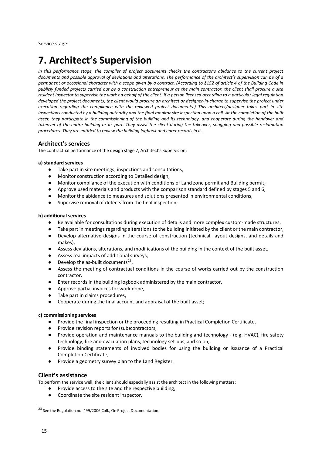# **7. Architect's Supervision**

*In this performance stage, the compiler of project documents checks the contractor's abidance to the current project documents and possible approval of deviations and alterations. The performance of the architect's supervision can be of a permanent or occasional character with a scope given by a contract. (According to §152 of article 4 of the Building Code in publicly funded projects carried out by a construction entrepreneur as the main contractor, the client shall procure a site resident inspector to supervise the work on behalf of the client. If a person licensed according to a particular legal regulation developed the project documents, the client would procure an architect or designer-in-charge to supervise the project under execution regarding the compliance with the reviewed project documents.) This architect/designer takes part in site inspections conducted by a building authority and the final monitor site inspection upon a call. At the completion of the built asset, they participate in the commissioning of the building and its technology, and cooperate during the handover and*  takeover of the entire building or its part. They assist the client during the takeover, snagging and possible reclamation *procedures. They are entitled to review the building logbook and enter records in it.*

# **Architect's services**

The contractual performance of the design stage 7, Architect's Supervision:

#### **a) standard services**

- Take part in site meetings, inspections and consultations,
- Monitor construction according to Detailed design,
- Monitor compliance of the execution with conditions of Land zone permit and Building permit,
- Approve used materials and products with the comparison standard defined by stages 5 and 6,
- Monitor the abidance to measures and solutions presented in environmental conditions,
- Supervise removal of defects from the final inspection;

#### **b) additional services**

- Be available for consultations during execution of details and more complex custom-made structures,
- Take part in meetings regarding alterations to the building initiated by the client or the main contractor,
- Develop alternative designs in the course of construction (technical, layout designs, and details and makes),
- Assess deviations, alterations, and modifications of the building in the context of the built asset,
- Assess real impacts of additional surveys,
- $\bullet$  Develop the as-built documents<sup>23</sup>,
- Assess the meeting of contractual conditions in the course of works carried out by the construction contractor,
- Enter records in the building logbook administered by the main contractor,
- Approve partial invoices for work done,
- Take part in claims procedures,
- Cooperate during the final account and appraisal of the built asset;

#### **c) commissioning services**

- Provide the final inspection or the proceeding resulting in Practical Completion Certificate,
- Provide revision reports for (sub)contractors,
- Provide operation and maintenance manuals to the building and technology (e.g. HVAC), fire safety technology, fire and evacuation plans, technology set-ups, and so on,
- Provide binding statements of involved bodies for using the building or issuance of a Practical Completion Certificate,
- Provide a geometry survey plan to the Land Register.

#### **Client's assistance**

To perform the service well, the client should especially assist the architect in the following matters:

- Provide access to the site and the respective building,
- Coordinate the site resident inspector,

<sup>&</sup>lt;sup>23</sup> See the Regulation no. 499/2006 Coll., On Project Documentation.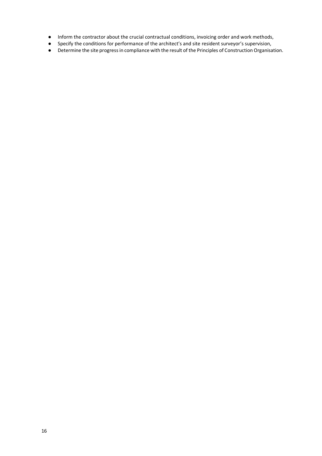- Inform the contractor about the crucial contractual conditions, invoicing order and work methods,
- Specify the conditions for performance of the architect's and site resident surveyor's supervision,
- Determine the site progress in compliance with the result of the Principles of Construction Organisation.